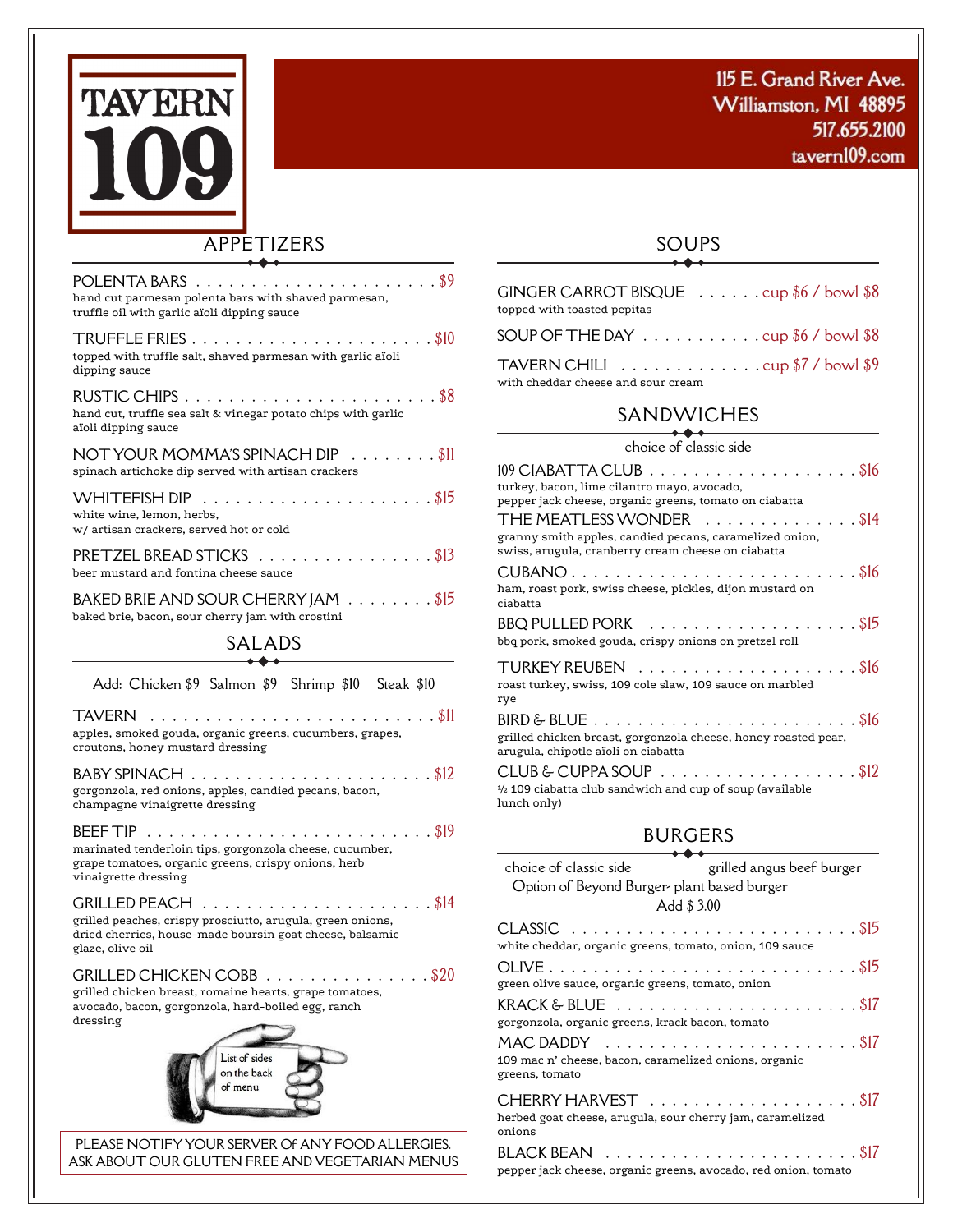

tavern109.com



## APPETIZERS

| POLENTA BARS.<br>. 89<br>hand cut parmesan polenta bars with shaved parmesan,<br>truffle oil with garlic aïoli dipping sauce                                              |
|---------------------------------------------------------------------------------------------------------------------------------------------------------------------------|
| $\ldots$ \$10<br>TRUFFLE FRIES<br>topped with truffle salt, shaved parmesan with garlic aïoli<br>dipping sauce                                                            |
| RUSTIC CHIPS.<br>. \$8<br>hand cut, truffle sea salt & vinegar potato chips with garlic<br>aïoli dipping sauce                                                            |
| NOT YOUR MOMMA'S SPINACH DIP<br>$\ldots$ SII<br>spinach artichoke dip served with artisan crackers                                                                        |
| . \$15<br>WHITEFISH DIP<br>white wine, lemon, herbs,<br>w/ artisan crackers, served hot or cold                                                                           |
| . \$13<br>PRETZEL BREAD STICKS<br>beer mustard and fontina cheese sauce                                                                                                   |
| BAKED BRIE AND SOUR CHERRY JAM \$15<br>baked brie, bacon, sour cherry jam with crostini                                                                                   |
| SALADS                                                                                                                                                                    |
| Add: Chicken \$9 Salmon \$9 Shrimp \$10 Steak \$10                                                                                                                        |
| <b>TAVERN</b><br>. \$11<br>$\cdots$<br>$\sim$ $\sim$ $\sim$ $\sim$ $\sim$<br>apples, smoked gouda, organic greens, cucumbers, grapes,<br>croutons, honey mustard dressing |
| . \$12<br>BABY SPINACH<br>gorgonzola, red onions, apples, candied pecans, bacon,<br>champagne vinaigrette dressing                                                        |
| . \$19<br><b>BEEF TIP</b><br>marinated tenderloin tips, gorgonzola cheese, cucumber,<br>grape tomatoes, organic greens, crispy onions, herb<br>vinaigrette dressing       |
| . \$14<br>GRILLED PEACH<br>grilled peaches, crispy prosciutto, arugula, green onions,<br>dried cherries, house-made boursin goat cheese, balsamic<br>glaze, olive oil     |
| <b>GRILLED CHICKEN COBB</b><br>. \$20<br>grilled chicken breast, romaine hearts, grape tomatoes,<br>avocado, bacon, gorgonzola, hard-boiled egg, ranch<br>dressing        |
| List of sides<br>on the back<br>of menu                                                                                                                                   |
| PLEASE NOTIFY YOUR SERVER OF ANY FOOD ALLERGIES.<br>ASK ABOUT OUR GLUTEN FREE AND VEGETARIAN MENUS                                                                        |

#### SOUPS  $\rightarrow$

| GINGER CARROT BISQUE $\ldots \ldots \ldots$ cup \$6 / bowl \$8<br>topped with toasted pepitas              |
|------------------------------------------------------------------------------------------------------------|
| SOUP OF THE DAY $\ldots \ldots \ldots \ldots \cdots$                                                       |
| TAVERN CHILI $\ldots \ldots \ldots \ldots \ldots$ cup \$7 / bowl \$9<br>with cheddar cheese and sour cream |

### SANDWICHES

choice of classic side

| $109$ CIABATTA CLUB $\ldots \ldots \ldots \ldots \ldots \ldots \$<br>turkey, bacon, lime cilantro mayo, avocado,<br>pepper jack cheese, organic greens, tomato on ciabatta<br>THE MEATLESS WONDER \$14 |  |
|--------------------------------------------------------------------------------------------------------------------------------------------------------------------------------------------------------|--|
| granny smith apples, candied pecans, caramelized onion,<br>swiss, arugula, cranberry cream cheese on ciabatta                                                                                          |  |
| ham, roast pork, swiss cheese, pickles, dijon mustard on<br>ciabatta                                                                                                                                   |  |
| BBQ PULLED PORK $\ldots \ldots \ldots \ldots \ldots \ldots \$<br>bbq pork, smoked gouda, crispy onions on pretzel roll                                                                                 |  |
| roast turkey, swiss, 109 cole slaw, 109 sauce on marbled<br>rye                                                                                                                                        |  |
| $B$ IRD & BLUE $\ldots \ldots \ldots \ldots \ldots \ldots \ldots \ldots \$<br>grilled chicken breast, gorgonzola cheese, honey roasted pear,<br>arugula, chipotle aïoli on ciabatta                    |  |
| CLUB & CUPPA SOUP $\ldots \ldots \ldots \ldots \ldots \ldots \$<br>$\frac{1}{2}$ 109 ciabatta club sandwich and cup of soup (available<br>lunch only)                                                  |  |

# BURGERS

| choice of classic side entitled angus beef burger                                                                                                |  |
|--------------------------------------------------------------------------------------------------------------------------------------------------|--|
| Option of Beyond Burger plant based burger                                                                                                       |  |
| Add \$3.00                                                                                                                                       |  |
| white cheddar, organic greens, tomato, onion, 109 sauce                                                                                          |  |
| green olive sauce, organic greens, tomato, onion                                                                                                 |  |
| KRACK & BLUE $\ldots \ldots \ldots \ldots \ldots \ldots \ldots \$<br>gorgonzola, organic greens, krack bacon, tomato                             |  |
| MAC DADDY $\ldots \ldots \ldots \ldots \ldots \ldots \ldots \ldots \$<br>109 mac n' cheese, bacon, caramelized onions, organic<br>greens, tomato |  |
| herbed goat cheese, arugula, sour cherry jam, caramelized<br>onions                                                                              |  |
| pepper jack cheese, organic greens, avocado, red onion, tomato                                                                                   |  |